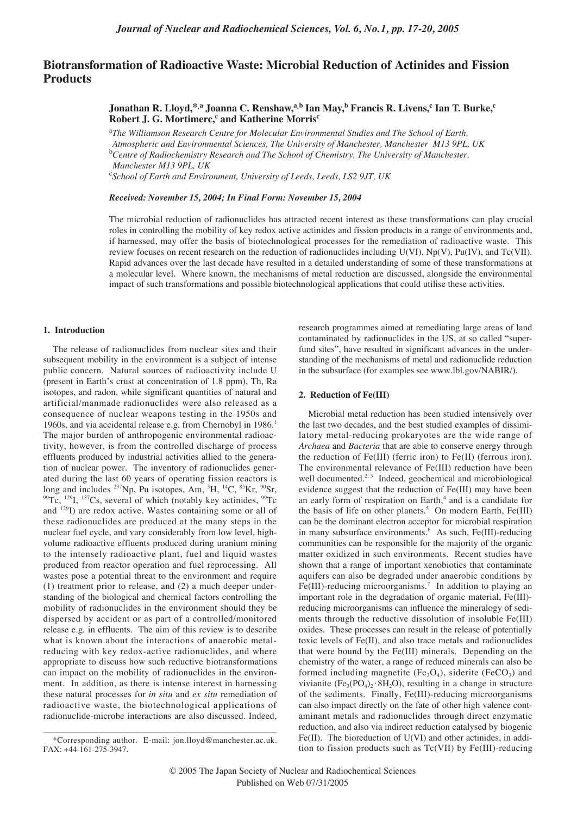# **Biotransformation of Radioactive Waste: Microbial Reduction of Actinides and Fission Products**

**Jonathan R. Lloyd,\*,a Joanna C. Renshaw,a,b Ian May,b Francis R. Livens,c Ian T. Burke,c Robert J. G. Mortimerc,<sup>c</sup> and Katherine Morris<sup>c</sup>** 

<sup>a</sup>The Williamson Research Centre for Molecular Environmental Studies and The School of Earth, *Atmospheric and Environmental Sciences, The University of Manchester, Manchester M13 9PL, UK* <sup>b</sup>Centre of Radiochemistry Research and The School of Chemistry, The University of Manchester, *Manchester M13 9PL, UK*

c *School of Earth and Environment, University of Leeds, Leeds, LS2 9JT, UK*

*Received: November 15, 2004; In Final Form: November 15, 2004*

The microbial reduction of radionuclides has attracted recent interest as these transformations can play crucial roles in controlling the mobility of key redox active actinides and fission products in a range of environments and, if harnessed, may offer the basis of biotechnological processes for the remediation of radioactive waste. This review focuses on recent research on the reduction of radionuclides including U(VI), Np(V), Pu(IV), and Tc(VII). Rapid advances over the last decade have resulted in a detailed understanding of some of these transformations at a molecular level. Where known, the mechanisms of metal reduction are discussed, alongside the environmental impact of such transformations and possible biotechnological applications that could utilise these activities.

### **1. Introduction**

The release of radionuclides from nuclear sites and their subsequent mobility in the environment is a subject of intense public concern. Natural sources of radioactivity include U (present in Earth's crust at concentration of 1.8 ppm), Th, Ra isotopes, and radon, while significant quantities of natural and artificial/manmade radionuclides were also released as a consequence of nuclear weapons testing in the 1950s and 1960s, and via accidental release e.g. from Chernobyl in 1986.<sup>1</sup> The major burden of anthropogenic environmental radioactivity, however, is from the controlled discharge of process effluents produced by industrial activities allied to the generation of nuclear power. The inventory of radionuclides generated during the last 60 years of operating fission reactors is long and includes <sup>237</sup>Np, Pu isotopes, Am, <sup>3</sup>H, <sup>14</sup>C, <sup>85</sup>Kr, <sup>90</sup>Sr,  $99$ Tc,  $129$ I,  $137$ Cs, several of which (notably key actinides,  $99$ Tc and 129I) are redox active. Wastes containing some or all of these radionuclides are produced at the many steps in the nuclear fuel cycle, and vary considerably from low level, highvolume radioactive effluents produced during uranium mining to the intensely radioactive plant, fuel and liquid wastes produced from reactor operation and fuel reprocessing. All wastes pose a potential threat to the environment and require (1) treatment prior to release, and (2) a much deeper understanding of the biological and chemical factors controlling the mobility of radionuclides in the environment should they be dispersed by accident or as part of a controlled/monitored release e.g. in effluents. The aim of this review is to describe what is known about the interactions of anaerobic metalreducing with key redox-active radionuclides, and where appropriate to discuss how such reductive biotransformations can impact on the mobility of radionuclides in the environment. In addition, as there is intense interest in harnessing these natural processes for *in situ* and *ex situ* remediation of radioactive waste, the biotechnological applications of radionuclide-microbe interactions are also discussed. Indeed,

research programmes aimed at remediating large areas of land contaminated by radionuclides in the US, at so called "superfund sites", have resulted in significant advances in the understanding of the mechanisms of metal and radionuclide reduction in the subsurface (for examples see www.lbl.gov/NABIR/).

#### **2. Reduction of Fe(III)**

Microbial metal reduction has been studied intensively over the last two decades, and the best studied examples of dissimilatory metal-reducing prokaryotes are the wide range of *Archaea* and *Bacteria* that are able to conserve energy through the reduction of Fe(III) (ferric iron) to Fe(II) (ferrous iron). The environmental relevance of Fe(III) reduction have been well documented.<sup>2, 3</sup> Indeed, geochemical and microbiological evidence suggest that the reduction of Fe(III) may have been an early form of respiration on Earth,<sup>4</sup> and is a candidate for the basis of life on other planets.<sup>5</sup> On modern Earth, Fe(III) can be the dominant electron acceptor for microbial respiration in many subsurface environments.<sup>6</sup> As such, Fe(III)-reducing communities can be responsible for the majority of the organic matter oxidized in such environments. Recent studies have shown that a range of important xenobiotics that contaminate aquifers can also be degraded under anaerobic conditions by Fe(III)-reducing microorganisms.<sup>7</sup> In addition to playing an important role in the degradation of organic material, Fe(III) reducing microorganisms can influence the mineralogy of sediments through the reductive dissolution of insoluble Fe(III) oxides. These processes can result in the release of potentially toxic levels of Fe(II), and also trace metals and radionuclides that were bound by the Fe(III) minerals. Depending on the chemistry of the water, a range of reduced minerals can also be formed including magnetite (Fe<sub>3</sub>O<sub>4</sub>), siderite (FeCO<sub>3</sub>) and vivianite (Fe<sub>3</sub>(PO<sub>4</sub>)<sub>2</sub>·8H<sub>2</sub>O), resulting in a change in structure of the sediments. Finally, Fe(III)-reducing microorganisms can also impact directly on the fate of other high valence contaminant metals and radionuclides through direct enzymatic reduction, and also via indirect reduction catalysed by biogenic Fe(II). The bioreduction of U(VI) and other actinides, in addition to fission products such as Tc(VII) by Fe(III)-reducing

<sup>\*</sup>Corresponding author. E-mail: jon.lloyd@manchester.ac.uk. FAX: +44-161-275-3947.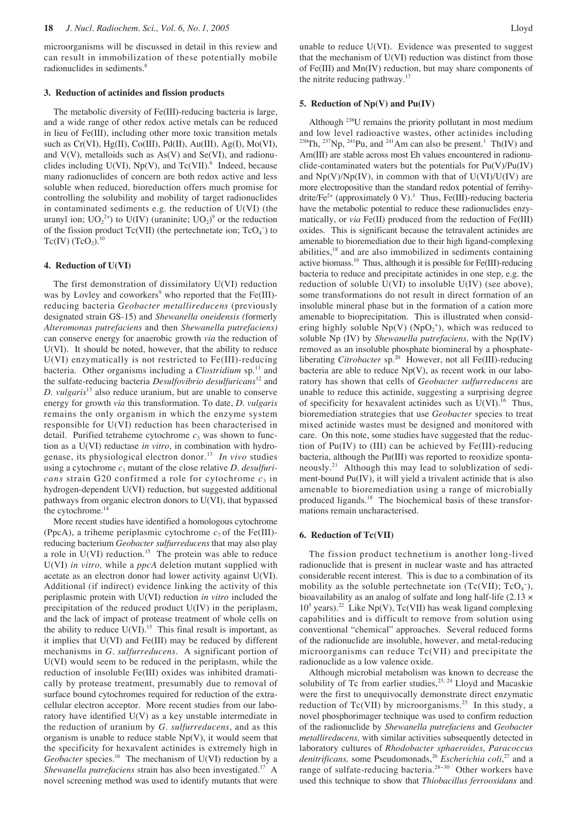microorganisms will be discussed in detail in this review and can result in immobilization of these potentially mobile radionuclides in sediments.<sup>8</sup>

## **3. Reduction of actinides and fission products**

The metabolic diversity of Fe(III)-reducing bacteria is large, and a wide range of other redox active metals can be reduced in lieu of Fe(III), including other more toxic transition metals such as  $Cr(VI)$ , Hg(II), Co(III), Pd(II), Au(III), Ag(I), Mo(VI), and  $V(V)$ , metalloids such as  $As(V)$  and  $Se(VI)$ , and radionuclides including  $U(VI)$ ,  $Np(V)$ , and  $Tc(VII)$ .<sup>6</sup> Indeed, because many radionuclides of concern are both redox active and less soluble when reduced, bioreduction offers much promise for controlling the solubility and mobility of target radionuclides in contaminated sediments e.g. the reduction of U(VI) (the uranyl ion;  $UO_2^{2+}$ ) to  $U(IV)$  (uraninite;  $UO_2$ )<sup>9</sup> or the reduction of the fission product  $Tc(VII)$  (the pertechnetate ion;  $TcO<sub>4</sub>^-$ ) to  $Tc(IV)$  (TcO<sub>2</sub>).<sup>10</sup>

#### **4. Reduction of U(VI)**

The first demonstration of dissimilatory U(VI) reduction was by Lovley and coworkers<sup>9</sup> who reported that the Fe(III)reducing bacteria *Geobacter metallireducens* (previously designated strain GS-15) and *Shewanella oneidensis (*formerly *Alteromonas putrefaciens* and then *Shewanella putrefaciens)* can conserve energy for anaerobic growth *via* the reduction of U(VI). It should be noted, however, that the ability to reduce U(VI) enzymatically is not restricted to Fe(III)-reducing bacteria. Other organisms including a *Clostridium* sp.<sup>11</sup> and the sulfate-reducing bacteria *Desulfovibrio desulfuricans*<sup>12</sup> and *D. vulgaris*<sup>13</sup> also reduce uranium, but are unable to conserve energy for growth *via* this transformation. To date, *D. vulgaris* remains the only organism in which the enzyme system responsible for U(VI) reduction has been characterised in detail. Purified tetraheme cytochrome  $c_3$  was shown to function as a U(VI) reductase *in vitro*, in combination with hydrogenase, its physiological electron donor.<sup>13</sup> In vivo studies using a cytochrome *c*<sup>3</sup> mutant of the close relative *D. desulfuricans* strain G20 confirmed a role for cytochrome  $c_3$  in hydrogen-dependent U(VI) reduction, but suggested additional pathways from organic electron donors to U(VI), that bypassed the cytochrome. $<sup>1</sup>$ </sup>

More recent studies have identified a homologous cytochrome (PpcA), a triheme periplasmic cytochrome  $c_7$  of the Fe(III)reducing bacterium *Geobacter sulfurreducens* that may also play a role in  $U(VI)$  reduction.<sup>15</sup> The protein was able to reduce U(VI) *in vitro,* while a *ppcA* deletion mutant supplied with acetate as an electron donor had lower activity against U(VI). Additional (if indirect) evidence linking the activity of this periplasmic protein with U(VI) reduction *in vitro* included the precipitation of the reduced product U(IV) in the periplasm, and the lack of impact of protease treatment of whole cells on the ability to reduce  $U(VI).<sup>15</sup>$  This final result is important, as it implies that U(VI) and Fe(III) may be reduced by different mechanisms in *G. sulfurreducens*. A significant portion of U(VI) would seem to be reduced in the periplasm, while the reduction of insoluble Fe(III) oxides was inhibited dramatically by protease treatment, presumably due to removal of surface bound cytochromes required for reduction of the extracellular electron acceptor. More recent studies from our laboratory have identified U(V) as a key unstable intermediate in the reduction of uranium by *G. sulfurreducens*, and as this organism is unable to reduce stable  $Np(V)$ , it would seem that the specificity for hexavalent actinides is extremely high in *Geobacter* species.<sup>16</sup> The mechanism of U(VI) reduction by a *Shewanella putrefaciens* strain has also been investigated.17 A novel screening method was used to identify mutants that were unable to reduce U(VI). Evidence was presented to suggest that the mechanism of U(VI) reduction was distinct from those of Fe(III) and Mn(IV) reduction, but may share components of the nitrite reducing pathway.<sup>17</sup>

## **5. Reduction of Np(V) and Pu(IV)**

Although 238U remains the priority pollutant in most medium and low level radioactive wastes, other actinides including <sup>230</sup>Th, <sup>237</sup>Np, <sup>241</sup>Pu, and <sup>241</sup>Am can also be present.<sup>1</sup> Th(IV) and Am(III) are stable across most Eh values encountered in radionuclide-contaminated waters but the potentials for  $Pu(V)/Pu(IV)$ and  $Np(V)/Np(IV)$ , in common with that of  $U(VI)/U(IV)$  are more electropositive than the standard redox potential of ferrihydrite/Fe<sup>2+</sup> (approximately 0 V).<sup>3</sup> Thus, Fe(III)-reducing bacteria have the metabolic potential to reduce these radionuclides enzymatically, or *via* Fe(II) produced from the reduction of Fe(III) oxides. This is significant because the tetravalent actinides are amenable to bioremediation due to their high ligand-complexing abilities,<sup>18</sup> and are also immobilized in sediments containing active biomass.19 Thus, although it is possible for Fe(III)-reducing bacteria to reduce and precipitate actinides in one step, e.g. the reduction of soluble  $U(VI)$  to insoluble  $U(IV)$  (see above), some transformations do not result in direct formation of an insoluble mineral phase but in the formation of a cation more amenable to bioprecipitation. This is illustrated when considering highly soluble  $Np(V)$  ( $NpO<sub>2</sub><sup>+</sup>$ ), which was reduced to soluble Np (IV) by *Shewanella putrefaciens,* with the Np(IV) removed as an insoluble phosphate biomineral by a phosphateliberating *Citrobacter* sp.<sup>20</sup> However, not all Fe(III)-reducing bacteria are able to reduce  $Np(V)$ , as recent work in our laboratory has shown that cells of *Geobacter sulfurreducens* are unable to reduce this actinide, suggesting a surprising degree of specificity for hexavalent actinides such as  $U(VI)$ .<sup>16</sup> Thus, bioremediation strategies that use *Geobacter* species to treat mixed actinide wastes must be designed and monitored with care. On this note, some studies have suggested that the reduction of  $Pu(IV)$  to (III) can be achieved by  $Fe(III)$ -reducing bacteria, although the Pu(III) was reported to reoxidize spontaneously.<sup>21</sup> Although this may lead to solublization of sediment-bound Pu(IV), it will yield a trivalent actinide that is also amenable to bioremediation using a range of microbially produced ligands.<sup>18</sup> The biochemical basis of these transformations remain uncharacterised.

#### **6. Reduction of Tc(VII)**

The fission product technetium is another long-lived radionuclide that is present in nuclear waste and has attracted considerable recent interest. This is due to a combination of its mobility as the soluble pertechnetate ion  $(Tc(VII); TcO<sub>4</sub>),$ bioavailability as an analog of sulfate and long half-life  $(2.13 \times$  $10<sup>5</sup>$  years).<sup>22</sup> Like Np(V), Tc(VII) has weak ligand complexing capabilities and is difficult to remove from solution using conventional "chemical" approaches. Several reduced forms of the radionuclide are insoluble, however, and metal-reducing microorganisms can reduce Tc(VII) and precipitate the radionuclide as a low valence oxide.

Although microbial metabolism was known to decrease the solubility of Tc from earlier studies,  $23, 24$  Lloyd and Macaskie were the first to unequivocally demonstrate direct enzymatic reduction of  $Tc(VII)$  by microorganisms.<sup>25</sup> In this study, a novel phosphorimager technique was used to confirm reduction of the radionuclide by *Shewanella putrefaciens* and *Geobacter metallireducens,* with similar activities subsequently detected in laboratory cultures of *Rhodobacter sphaeroides, Paracoccus* denitrificans, some Pseudomonads,<sup>26</sup> *Escherichia coli*,<sup>27</sup> and a range of sulfate-reducing bacteria.<sup>28−30</sup> Other workers have used this technique to show that *Thiobacillus ferrooxidans* and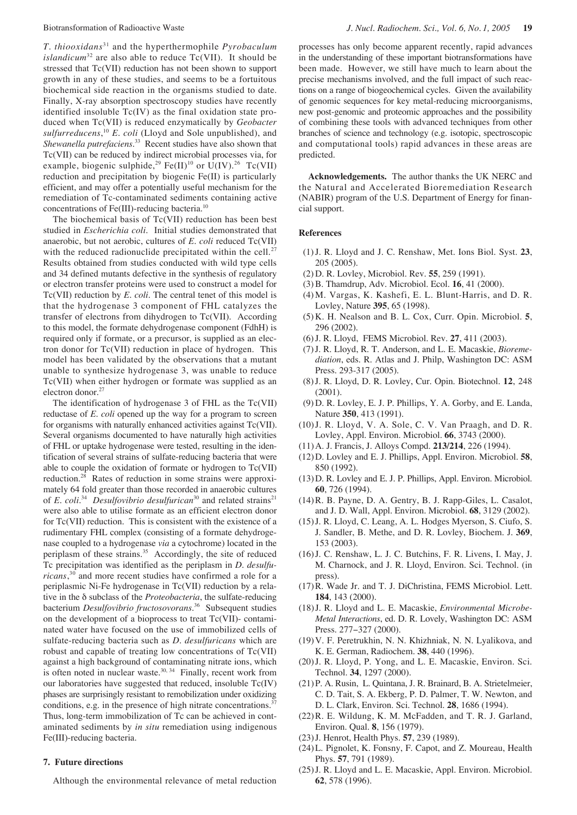*T. thiooxidans*<sup>31</sup> and the hyperthermophile *Pyrobaculum islandicum*<sup>32</sup> are also able to reduce  $Tc(VII)$ . It should be stressed that Tc(VII) reduction has not been shown to support growth in any of these studies, and seems to be a fortuitous biochemical side reaction in the organisms studied to date. Finally, X-ray absorption spectroscopy studies have recently identified insoluble Tc(IV) as the final oxidation state produced when Tc(VII) is reduced enzymatically by *Geobacter sulfurreducens*, <sup>10</sup> *E. coli* (Lloyd and Sole unpublished), and *Shewanella putrefaciens*. <sup>33</sup> Recent studies have also shown that Tc(VII) can be reduced by indirect microbial processes via, for example, biogenic sulphide,<sup>29</sup> Fe(II)<sup>10</sup> or U(IV).<sup>26</sup> Tc(VII) reduction and precipitation by biogenic Fe(II) is particularly efficient, and may offer a potentially useful mechanism for the remediation of Tc-contaminated sediments containing active concentrations of Fe(III)-reducing bacteria.10

The biochemical basis of Tc(VII) reduction has been best studied in *Escherichia coli.* Initial studies demonstrated that anaerobic, but not aerobic, cultures of *E. coli* reduced Tc(VII) with the reduced radionuclide precipitated within the cell. $27$ Results obtained from studies conducted with wild type cells and 34 defined mutants defective in the synthesis of regulatory or electron transfer proteins were used to construct a model for Tc(VII) reduction by *E. coli*. The central tenet of this model is that the hydrogenase 3 component of FHL catalyzes the transfer of electrons from dihydrogen to Tc(VII). According to this model, the formate dehydrogenase component (FdhH) is required only if formate, or a precursor, is supplied as an electron donor for Tc(VII) reduction in place of hydrogen. This model has been validated by the observations that a mutant unable to synthesize hydrogenase 3, was unable to reduce Tc(VII) when either hydrogen or formate was supplied as an electron donor.<sup>27</sup>

The identification of hydrogenase 3 of FHL as the Tc(VII) reductase of *E. coli* opened up the way for a program to screen for organisms with naturally enhanced activities against Tc(VII). Several organisms documented to have naturally high activities of FHL or uptake hydrogenase were tested, resulting in the identification of several strains of sulfate-reducing bacteria that were able to couple the oxidation of formate or hydrogen to Tc(VII) reduction.<sup>28</sup> Rates of reduction in some strains were approximately 64 fold greater than those recorded in anaerobic cultures of *E. coli.*<sup>34</sup> *Desulfovibrio desulfurican*<sup>30</sup> and related strains<sup>21</sup> were also able to utilise formate as an efficient electron donor for Tc(VII) reduction. This is consistent with the existence of a rudimentary FHL complex (consisting of a formate dehydrogenase coupled to a hydrogenase *via* a cytochrome) located in the periplasm of these strains.<sup>35</sup> Accordingly, the site of reduced Tc precipitation was identified as the periplasm in *D. desulfuricans*, <sup>30</sup> and more recent studies have confirmed a role for a periplasmic Ni-Fe hydrogenase in Tc(VII) reduction by a relative in the δ subclass of the *Proteobacteria*, the sulfate-reducing bacterium *Desulfovibrio fructosovorans*. <sup>36</sup> Subsequent studies on the development of a bioprocess to treat Tc(VII)- contaminated water have focused on the use of immobilized cells of sulfate-reducing bacteria such as *D. desulfuricans* which are robust and capable of treating low concentrations of Tc(VII) against a high background of contaminating nitrate ions, which is often noted in nuclear waste. $30, 34$  Finally, recent work from our laboratories have suggested that reduced, insoluble Tc(IV) phases are surprisingly resistant to remobilization under oxidizing conditions, e.g. in the presence of high nitrate concentrations.<sup>3</sup> Thus, long-term immobilization of Tc can be achieved in contaminated sediments by *in situ* remediation using indigenous Fe(III)-reducing bacteria.

## **7. Future directions**

Although the environmental relevance of metal reduction

processes has only become apparent recently, rapid advances in the understanding of these important biotransformations have been made. However, we still have much to learn about the precise mechanisms involved, and the full impact of such reactions on a range of biogeochemical cycles. Given the availability of genomic sequences for key metal-reducing microorganisms, new post-genomic and proteomic approaches and the possibility of combining these tools with advanced techniques from other branches of science and technology (e.g. isotopic, spectroscopic and computational tools) rapid advances in these areas are predicted.

**Acknowledgements.** The author thanks the UK NERC and the Natural and Accelerated Bioremediation Research (NABIR) program of the U.S. Department of Energy for financial support.

#### **References**

- (1)J. R. Lloyd and J. C. Renshaw, Met. Ions Biol. Syst. **23**, 205 (2005).
- (2) D. R. Lovley, Microbiol. Rev. **55**, 259 (1991).
- (3) B. Thamdrup, Adv. Microbiol. Ecol. **16**, 41 (2000).
- (4) M. Vargas, K. Kashefi, E. L. Blunt-Harris, and D. R. Lovley, Nature **395**, 65 (1998).
- (5) K. H. Nealson and B. L. Cox, Curr. Opin. Microbiol. **5**, 296 (2002).
- (6) J. R. Lloyd, FEMS Microbiol. Rev. **27**, 411 (2003).
- (7) J. R. Lloyd, R. T. Anderson, and L. E. Macaskie, *Bioremediation*, eds. R. Atlas and J. Philp, Washington DC: ASM Press. 293-317 (2005).
- (8) J. R. Lloyd, D. R. Lovley, Cur. Opin. Biotechnol. **12**, 248 (2001).
- (9) D. R. Lovley, E. J. P. Phillips, Y. A. Gorby, and E. Landa, Nature **350**, 413 (1991).
- (10)J. R. Lloyd, V. A. Sole, C. V. Van Praagh, and D. R. Lovley, Appl. Environ. Microbiol. **66**, 3743 (2000).
- (11)A. J. Francis, J. Alloys Compd. **213/214**, 226 (1994).
- (12)D. Lovley and E. J. Phillips, Appl. Environ. Microbiol. **58**, 850 (1992).
- (13)D. R. Lovley and E. J. P. Phillips, Appl. Environ. Microbiol. **60**, 726 (1994).
- (14)R. B. Payne, D. A. Gentry, B. J. Rapp-Giles, L. Casalot, and J. D. Wall, Appl. Environ. Microbiol. **68**, 3129 (2002).
- (15)J. R. Lloyd, C. Leang, A. L. Hodges Myerson, S. Ciufo, S. J. Sandler, B. Methe, and D. R. Lovley, Biochem. J. **369**, 153 (2003).
- (16)J. C. Renshaw, L. J. C. Butchins, F. R. Livens, I. May, J. M. Charnock, and J. R. Lloyd, Environ. Sci. Technol. (in press).
- (17)R. Wade Jr. and T. J. DiChristina, FEMS Microbiol. Lett. **184**, 143 (2000).
- (18)J. R. Lloyd and L. E. Macaskie, *Environmental Microbe-Metal Interactions*, ed. D. R. Lovely, Washington DC: ASM Press. 277−327 (2000).
- (19)V. F. Peretrukhin, N. N. Khizhniak, N. N. Lyalikova, and K. E. German, Radiochem. **38**, 440 (1996).
- (20)J. R. Lloyd, P. Yong, and L. E. Macaskie, Environ. Sci. Technol. **34**, 1297 (2000).
- (21)P. A. Rusin, L. Quintana, J. R. Brainard, B. A. Strietelmeier, C. D. Tait, S. A. Ekberg, P. D. Palmer, T. W. Newton, and D. L. Clark, Environ. Sci. Technol. **28**, 1686 (1994).
- (22)R. E. Wildung, K. M. McFadden, and T. R. J. Garland, Environ. Qual. **8**, 156 (1979).
- (23)J. Henrot, Health Phys. **57**, 239 (1989).
- (24)L. Pignolet, K. Fonsny, F. Capot, and Z. Moureau, Health Phys. **57**, 791 (1989).
- (25)J. R. Lloyd and L. E. Macaskie, Appl. Environ. Microbiol. **62**, 578 (1996).